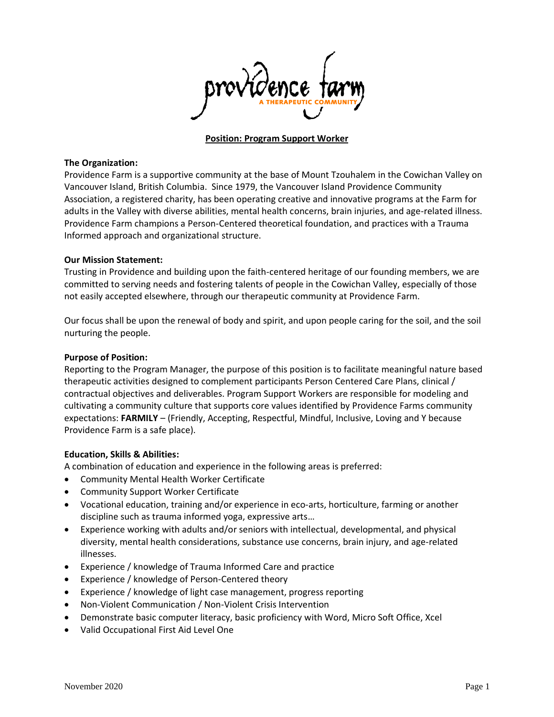

### **Position: Program Support Worker**

#### **The Organization:**

Providence Farm is a supportive community at the base of Mount Tzouhalem in the Cowichan Valley on Vancouver Island, British Columbia. Since 1979, the Vancouver Island Providence Community Association, a registered charity, has been operating creative and innovative programs at the Farm for adults in the Valley with diverse abilities, mental health concerns, brain injuries, and age-related illness. Providence Farm champions a Person-Centered theoretical foundation, and practices with a Trauma Informed approach and organizational structure.

### **Our Mission Statement:**

Trusting in Providence and building upon the faith-centered heritage of our founding members, we are committed to serving needs and fostering talents of people in the Cowichan Valley, especially of those not easily accepted elsewhere, through our therapeutic community at Providence Farm.

Our focus shall be upon the renewal of body and spirit, and upon people caring for the soil, and the soil nurturing the people.

### **Purpose of Position:**

Reporting to the Program Manager, the purpose of this position is to facilitate meaningful nature based therapeutic activities designed to complement participants Person Centered Care Plans, clinical / contractual objectives and deliverables. Program Support Workers are responsible for modeling and cultivating a community culture that supports core values identified by Providence Farms community expectations: **FARMILY** – (Friendly, Accepting, Respectful, Mindful, Inclusive, Loving and Y because Providence Farm is a safe place).

## **Education, Skills & Abilities:**

A combination of education and experience in the following areas is preferred:

- Community Mental Health Worker Certificate
- Community Support Worker Certificate
- Vocational education, training and/or experience in eco-arts, horticulture, farming or another discipline such as trauma informed yoga, expressive arts…
- Experience working with adults and/or seniors with intellectual, developmental, and physical diversity, mental health considerations, substance use concerns, brain injury, and age-related illnesses.
- Experience / knowledge of Trauma Informed Care and practice
- Experience / knowledge of Person-Centered theory
- Experience / knowledge of light case management, progress reporting
- Non-Violent Communication / Non-Violent Crisis Intervention
- Demonstrate basic computer literacy, basic proficiency with Word, Micro Soft Office, Xcel
- Valid Occupational First Aid Level One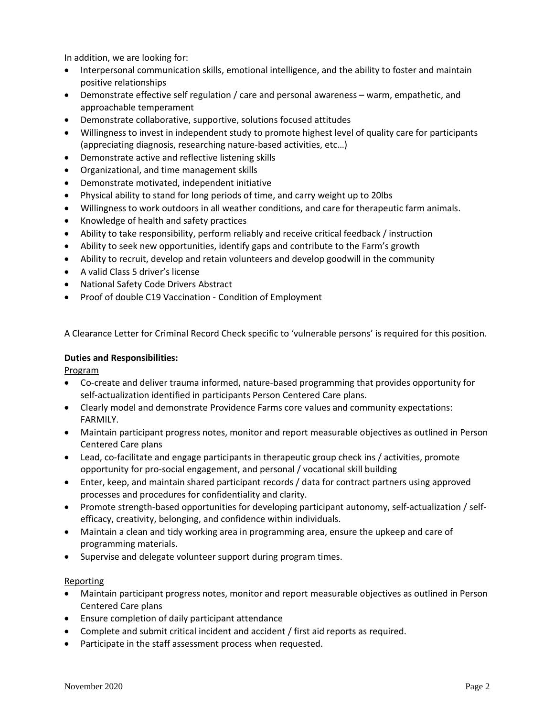In addition, we are looking for:

- Interpersonal communication skills, emotional intelligence, and the ability to foster and maintain positive relationships
- Demonstrate effective self regulation / care and personal awareness warm, empathetic, and approachable temperament
- Demonstrate collaborative, supportive, solutions focused attitudes
- Willingness to invest in independent study to promote highest level of quality care for participants (appreciating diagnosis, researching nature-based activities, etc…)
- Demonstrate active and reflective listening skills
- Organizational, and time management skills
- Demonstrate motivated, independent initiative
- Physical ability to stand for long periods of time, and carry weight up to 20lbs
- Willingness to work outdoors in all weather conditions, and care for therapeutic farm animals.
- Knowledge of health and safety practices
- Ability to take responsibility, perform reliably and receive critical feedback / instruction
- Ability to seek new opportunities, identify gaps and contribute to the Farm's growth
- Ability to recruit, develop and retain volunteers and develop goodwill in the community
- A valid Class 5 driver's license
- National Safety Code Drivers Abstract
- Proof of double C19 Vaccination Condition of Employment

A Clearance Letter for Criminal Record Check specific to 'vulnerable persons' is required for this position.

# **Duties and Responsibilities:**

Program

- Co-create and deliver trauma informed, nature-based programming that provides opportunity for self-actualization identified in participants Person Centered Care plans.
- Clearly model and demonstrate Providence Farms core values and community expectations: FARMILY.
- Maintain participant progress notes, monitor and report measurable objectives as outlined in Person Centered Care plans
- Lead, co-facilitate and engage participants in therapeutic group check ins / activities, promote opportunity for pro-social engagement, and personal / vocational skill building
- Enter, keep, and maintain shared participant records / data for contract partners using approved processes and procedures for confidentiality and clarity.
- Promote strength-based opportunities for developing participant autonomy, self-actualization / selfefficacy, creativity, belonging, and confidence within individuals.
- Maintain a clean and tidy working area in programming area, ensure the upkeep and care of programming materials.
- Supervise and delegate volunteer support during program times.

## **Reporting**

- Maintain participant progress notes, monitor and report measurable objectives as outlined in Person Centered Care plans
- Ensure completion of daily participant attendance
- Complete and submit critical incident and accident / first aid reports as required.
- Participate in the staff assessment process when requested.